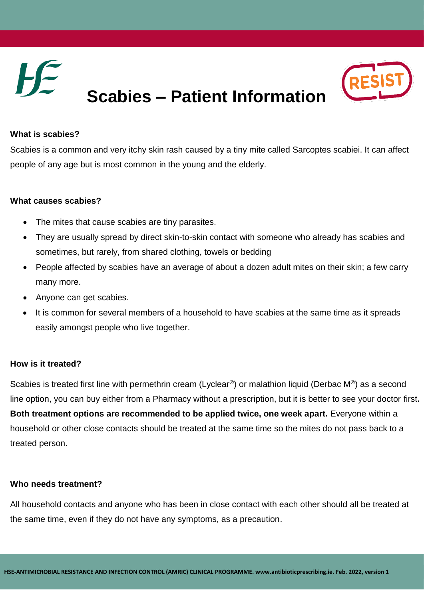

# **Scabies – Patient Information**



## **What is scabies?**

Scabies is a common and very itchy skin rash caused by a tiny mite called Sarcoptes scabiei. It can affect people of any age but is most common in the young and the elderly.

#### **What causes scabies?**

- The mites that cause scabies are tiny parasites.
- They are usually spread by direct skin-to-skin contact with someone who already has scabies and sometimes, but rarely, from shared clothing, towels or bedding
- People affected by scabies have an average of about a dozen adult mites on their skin; a few carry many more.
- Anyone can get scabies.
- It is common for several members of a household to have scabies at the same time as it spreads easily amongst people who live together.

#### **How is it treated?**

Scabies is treated first line with permethrin cream (Lyclear<sup>®</sup>) or malathion liquid (Derbac M<sup>®</sup>) as a second line option, you can buy either from a Pharmacy without a prescription, but it is better to see your doctor first**. Both treatment options are recommended to be applied twice, one week apart.** Everyone within a household or other close contacts should be treated at the same time so the mites do not pass back to a treated person.

#### **Who needs treatment?**

All household contacts and anyone who has been in close contact with each other should all be treated at the same time, even if they do not have any symptoms, as a precaution.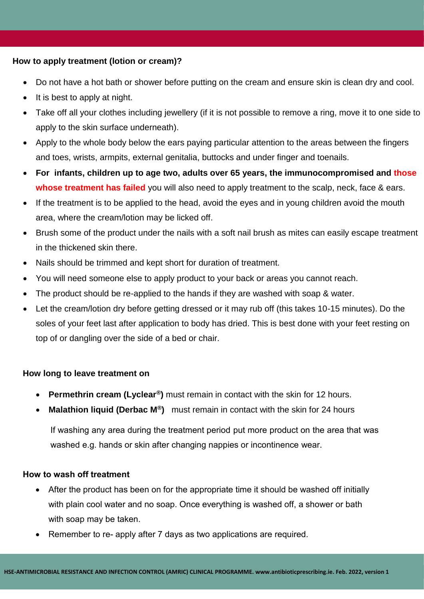#### **How to apply treatment (lotion or cream)?**

- Do not have a hot bath or shower before putting on the cream and ensure skin is clean dry and cool.
- $\bullet$  It is best to apply at night.
- Take off all your clothes including jewellery (if it is not possible to remove a ring, move it to one side to apply to the skin surface underneath).
- Apply to the whole body below the ears paying particular attention to the areas between the fingers and toes, wrists, armpits, external genitalia, buttocks and under finger and toenails.
- **For infants, children up to age two, adults over 65 years, the immunocompromised and those whose treatment has failed** you will also need to apply treatment to the scalp, neck, face & ears.
- If the treatment is to be applied to the head, avoid the eyes and in young children avoid the mouth area, where the cream/lotion may be licked off.
- Brush some of the product under the nails with a soft nail brush as mites can easily escape treatment in the thickened skin there.
- Nails should be trimmed and kept short for duration of treatment.
- You will need someone else to apply product to your back or areas you cannot reach.
- The product should be re-applied to the hands if they are washed with soap & water.
- Let the cream/lotion dry before getting dressed or it may rub off (this takes 10-15 minutes). Do the soles of your feet last after application to body has dried. This is best done with your feet resting on top of or dangling over the side of a bed or chair.

## **How long to leave treatment on**

- **Permethrin cream (Lyclear®)** must remain in contact with the skin for 12 hours.
- **Malathion liquid (Derbac M®)** must remain in contact with the skin for 24 hours

If washing any area during the treatment period put more product on the area that was washed e.g. hands or skin after changing nappies or incontinence wear.

## **How to wash off treatment**

- After the product has been on for the appropriate time it should be washed off initially with plain cool water and no soap. Once everything is washed off, a shower or bath with soap may be taken.
- Remember to re- apply after 7 days as two applications are required.